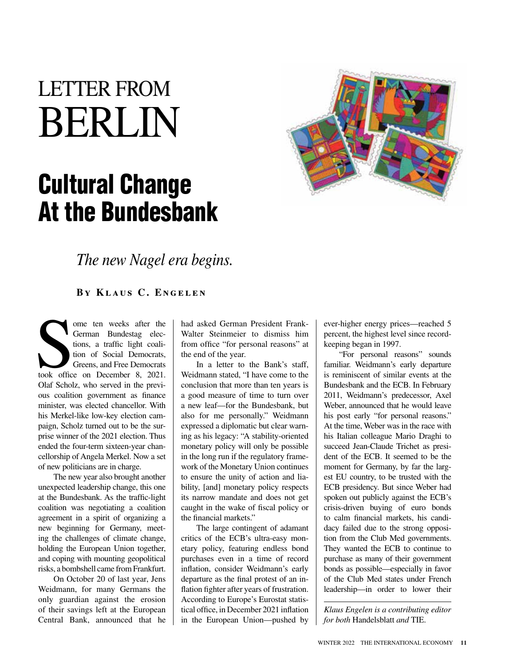# LETTER FROM BERLIN

## Cultural Change At the Bundesbank



*The new Nagel era begins.*

**By Klaus C. Engelen**

The Serman Bundestag elections, a traffic light coalition of Social Democrats, Greens, and Free Democrats took office on December 8, 2021. ome ten weeks after the German Bundestag elections, a traffic light coalition of Social Democrats, Greens, and Free Democrats Olaf Scholz, who served in the previous coalition government as finance minister, was elected chancellor. With his Merkel-like low-key election campaign, Scholz turned out to be the surprise winner of the 2021 election. Thus ended the four-term sixteen-year chancellorship of Angela Merkel. Now a set of new politicians are in charge.

The new year also brought another unexpected leadership change, this one at the Bundesbank. As the traffic-light coalition was negotiating a coalition agreement in a spirit of organizing a new beginning for Germany, meeting the challenges of climate change, holding the European Union together, and coping with mounting geopolitical risks, a bombshell came from Frankfurt.

On October 20 of last year, Jens Weidmann, for many Germans the only guardian against the erosion of their savings left at the European Central Bank, announced that he had asked German President Frank-Walter Steinmeier to dismiss him from office "for personal reasons" at the end of the year.

In a letter to the Bank's staff, Weidmann stated, "I have come to the conclusion that more than ten years is a good measure of time to turn over a new leaf—for the Bundesbank, but also for me personally." Weidmann expressed a diplomatic but clear warning as his legacy: "A stability-oriented monetary policy will only be possible in the long run if the regulatory framework of the Monetary Union continues to ensure the unity of action and liability, [and] monetary policy respects its narrow mandate and does not get caught in the wake of fiscal policy or the financial markets."

The large contingent of adamant critics of the ECB's ultra-easy monetary policy, featuring endless bond purchases even in a time of record inflation, consider Weidmann's early departure as the final protest of an inflation fighter after years of frustration. According to Europe's Eurostat statistical office, in December 2021 inflation in the European Union—pushed by

ever-higher energy prices—reached 5 percent, the highest level since recordkeeping began in 1997.

"For personal reasons" sounds familiar. Weidmann's early departure is reminiscent of similar events at the Bundesbank and the ECB. In February 2011, Weidmann's predecessor, Axel Weber, announced that he would leave his post early "for personal reasons." At the time, Weber was in the race with his Italian colleague Mario Draghi to succeed Jean-Claude Trichet as president of the ECB. It seemed to be the moment for Germany, by far the largest EU country, to be trusted with the ECB presidency. But since Weber had spoken out publicly against the ECB's crisis-driven buying of euro bonds to calm financial markets, his candidacy failed due to the strong opposition from the Club Med governments. They wanted the ECB to continue to purchase as many of their government bonds as possible—especially in favor of the Club Med states under French leadership—in order to lower their

*Klaus Engelen is a contributing editor for both* Handelsblatt *and* TIE.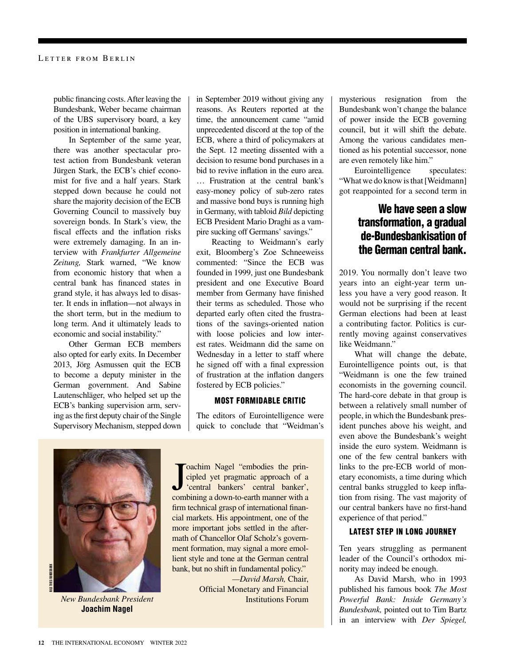public financing costs. After leaving the Bundesbank, Weber became chairman of the UBS supervisory board, a key position in international banking.

In September of the same year, there was another spectacular protest action from Bundesbank veteran Jürgen Stark, the ECB's chief economist for five and a half years. Stark stepped down because he could not share the majority decision of the ECB Governing Council to massively buy sovereign bonds. In Stark's view, the fiscal effects and the inflation risks were extremely damaging. In an interview with *Frankfurter Allgemeine Zeitung,* Stark warned, "We know from economic history that when a central bank has financed states in grand style, it has always led to disaster. It ends in inflation—not always in the short term, but in the medium to long term. And it ultimately leads to economic and social instability."

Other German ECB members also opted for early exits. In December 2013, Jörg Asmussen quit the ECB to become a deputy minister in the German government. And Sabine Lautenschläger, who helped set up the ECB's banking supervision arm, serving as the first deputy chair of the Single Supervisory Mechanism, stepped down

in September 2019 without giving any reasons. As Reuters reported at the time, the announcement came "amid unprecedented discord at the top of the ECB, where a third of policymakers at the Sept. 12 meeting dissented with a decision to resume bond purchases in a bid to revive inflation in the euro area. … Frustration at the central bank's easy-money policy of sub-zero rates and massive bond buys is running high in Germany, with tabloid *Bild* depicting ECB President Mario Draghi as a vampire sucking off Germans' savings."

Reacting to Weidmann's early exit, Bloomberg's Zoe Schneeweiss commented: "Since the ECB was founded in 1999, just one Bundesbank president and one Executive Board member from Germany have finished their terms as scheduled. Those who departed early often cited the frustrations of the savings-oriented nation with loose policies and low interest rates. Weidmann did the same on Wednesday in a letter to staff where he signed off with a final expression of frustration at the inflation dangers fostered by ECB policies."

#### MOST FORMIDABLE CRITIC

The editors of Eurointelligence were quick to conclude that "Weidman's



**Joachim Nagel**

Joachim Nagel "embodies the principled yet pragmatic approach of a "central banker", combining a down-to-earth manner with a oachim Nagel "embodies the principled yet pragmatic approach of a 'central bankers' central banker', firm technical grasp of international financial markets. His appointment, one of the more important jobs settled in the aftermath of Chancellor Olaf Scholz's government formation, may signal a more emollient style and tone at the German central bank, but no shift in fundamental policy."

*—David Marsh,* Chair, Official Monetary and Financial *New Bundesbank President* Institutions Forum

mysterious resignation from the Bundesbank won't change the balance of power inside the ECB governing council, but it will shift the debate. Among the various candidates mentioned as his potential successor, none are even remotely like him."

Eurointelligence speculates: "What we do know is that [Weidmann] got reappointed for a second term in

## We have seen a slow transformation, a gradual de-Bundesbankisation of the German central bank.

2019. You normally don't leave two years into an eight-year term unless you have a very good reason. It would not be surprising if the recent German elections had been at least a contributing factor. Politics is currently moving against conservatives like Weidmann."

What will change the debate, Eurointelligence points out, is that "Weidmann is one the few trained economists in the governing council. The hard-core debate in that group is between a relatively small number of people, in which the Bundesbank president punches above his weight, and even above the Bundesbank's weight inside the euro system. Weidmann is one of the few central bankers with links to the pre-ECB world of monetary economists, a time during which central banks struggled to keep inflation from rising. The vast majority of our central bankers have no first-hand experience of that period."

### LATEST STEP IN LONG JOURNEY

Ten years struggling as permanent leader of the Council's orthodox minority may indeed be enough.

As David Marsh, who in 1993 published his famous book *The Most Powerful Bank: Inside Germany's Bundesbank,* pointed out to Tim Bartz in an interview with *Der Spiegel,*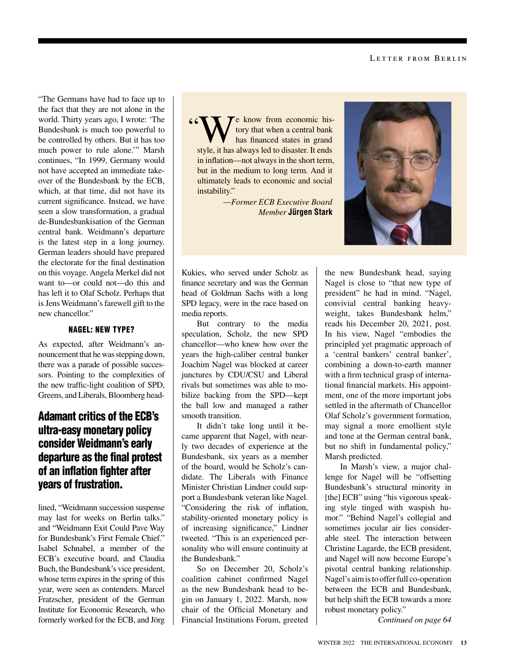"The Germans have had to face up to the fact that they are not alone in the world. Thirty years ago, I wrote: 'The Bundesbank is much too powerful to be controlled by others. But it has too much power to rule alone.'" Marsh continues, "In 1999, Germany would not have accepted an immediate takeover of the Bundesbank by the ECB, which, at that time, did not have its current significance. Instead, we have seen a slow transformation, a gradual de-Bundesbankisation of the German central bank. Weidmann's departure is the latest step in a long journey. German leaders should have prepared the electorate for the final destination on this voyage. Angela Merkel did not want to—or could not—do this and has left it to Olaf Scholz. Perhaps that is Jens Weidmann's farewell gift to the new chancellor."

## NAGEL: NEW TYPE?

As expected, after Weidmann's announcement that he was stepping down, there was a parade of possible successors. Pointing to the complexities of the new traffic-light coalition of SPD, Greens, and Liberals, Bloomberg head-

## Adamant critics of the ECB's ultra-easy monetary policy consider Weidmann's early departure as the final protest of an inflation fighter after years of frustration.

lined, "Weidmann succession suspense may last for weeks on Berlin talks." and "Weidmann Exit Could Pave Way for Bundesbank's First Female Chief." Isabel Schnabel, a member of the ECB's executive board, and Claudia Buch, the Bundesbank's vice president, whose term expires in the spring of this year, were seen as contenders. Marcel Fratzscher, president of the German Institute for Economic Research, who formerly worked for the ECB, and Jörg "We know from economic his-<br>tory that when a central bank<br>has financed states in grand<br>tyle it has always led to disaster. It ands tory that when a central bank has financed states in grand style, it has always led to disaster. It ends in inflation—not always in the short term, but in the medium to long term. And it ultimately leads to economic and social instability."

> *—Former ECB Executive Board Member* **Jürgen Stark**



Kukies, who served under Scholz as finance secretary and was the German head of Goldman Sachs with a long SPD legacy, were in the race based on media reports.

But contrary to the media speculation, Scholz, the new SPD chancellor—who knew how over the years the high-caliber central banker Joachim Nagel was blocked at career junctures by CDU/CSU and Liberal rivals but sometimes was able to mobilize backing from the SPD—kept the ball low and managed a rather smooth transition.

It didn't take long until it became apparent that Nagel, with nearly two decades of experience at the Bundesbank, six years as a member of the board, would be Scholz's candidate. The Liberals with Finance Minister Christian Lindner could support a Bundesbank veteran like Nagel. "Considering the risk of inflation, stability-oriented monetary policy is of increasing significance," Lindner tweeted. "This is an experienced personality who will ensure continuity at the Bundesbank."

So on December 20, Scholz's coalition cabinet confirmed Nagel as the new Bundesbank head to begin on January 1, 2022. Marsh, now chair of the Official Monetary and Financial Institutions Forum, greeted the new Bundesbank head, saying Nagel is close to "that new type of president" he had in mind. "Nagel, convivial central banking heavyweight, takes Bundesbank helm," reads his December 20, 2021, post. In his view, Nagel "embodies the principled yet pragmatic approach of a 'central bankers' central banker', combining a down-to-earth manner with a firm technical grasp of international financial markets. His appointment, one of the more important jobs settled in the aftermath of Chancellor Olaf Scholz's government formation, may signal a more emollient style and tone at the German central bank, but no shift in fundamental policy," Marsh predicted.

In Marsh's view, a major challenge for Nagel will be "offsetting Bundesbank's structural minority in [the] ECB" using "his vigorous speaking style tinged with waspish humor." "Behind Nagel's collegial and sometimes jocular air lies considerable steel. The interaction between Christine Lagarde, the ECB president, and Nagel will now become Europe's pivotal central banking relationship. Nagel's aim is to offer full co-operation between the ECB and Bundesbank, but help shift the ECB towards a more robust monetary policy."

*Continued on page 64*